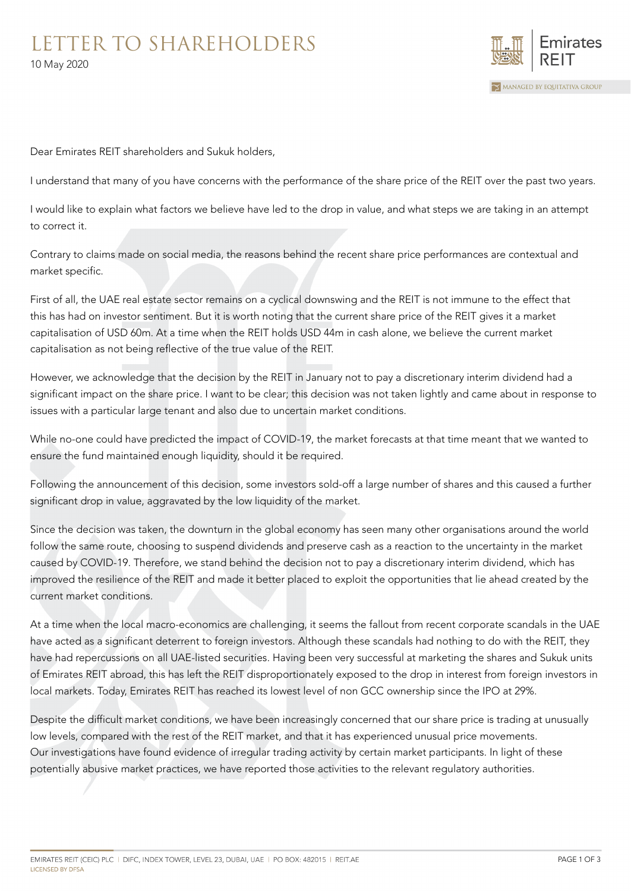## LETTER TO SHAREHOLDERS 10 May 2020



Dear Emirates REIT shareholders and Sukuk holders,

I understand that many of you have concerns with the performance of the share price of the REIT over the past two years.

I would like to explain what factors we believe have led to the drop in value, and what steps we are taking in an attempt to correct it.

Contrary to claims made on social media, the reasons behind the recent share price performances are contextual and market specific.

First of all, the UAE real estate sector remains on a cyclical downswing and the REIT is not immune to the effect that this has had on investor sentiment. But it is worth noting that the current share price of the REIT gives it a market capitalisation of USD 60m. At a time when the REIT holds USD 44m in cash alone, we believe the current market capitalisation as not being reflective of the true value of the REIT.

However, we acknowledge that the decision by the REIT in January not to pay a discretionary interim dividend had a significant impact on the share price. I want to be clear; this decision was not taken lightly and came about in response to issues with a particular large tenant and also due to uncertain market conditions.

While no-one could have predicted the impact of COVID-19, the market forecasts at that time meant that we wanted to ensure the fund maintained enough liquidity, should it be required.

Following the announcement of this decision, some investors sold-off a large number of shares and this caused a further significant drop in value, aggravated by the low liquidity of the market.

Since the decision was taken, the downturn in the global economy has seen many other organisations around the world follow the same route, choosing to suspend dividends and preserve cash as a reaction to the uncertainty in the market caused by COVID-19. Therefore, we stand behind the decision not to pay a discretionary interim dividend, which has improved the resilience of the REIT and made it better placed to exploit the opportunities that lie ahead created by the current market conditions.

At a time when the local macro-economics are challenging, it seems the fallout from recent corporate scandals in the UAE have acted as a significant deterrent to foreign investors. Although these scandals had nothing to do with the REIT, they have had repercussions on all UAE-listed securities. Having been very successful at marketing the shares and Sukuk units of Emirates REIT abroad, this has left the REIT disproportionately exposed to the drop in interest from foreign investors in local markets. Today, Emirates REIT has reached its lowest level of non GCC ownership since the IPO at 29%.

Despite the difficult market conditions, we have been increasingly concerned that our share price is trading at unusually low levels, compared with the rest of the REIT market, and that it has experienced unusual price movements. Our investigations have found evidence of irregular trading activity by certain market participants. In light of these potentially abusive market practices, we have reported those activities to the relevant regulatory authorities.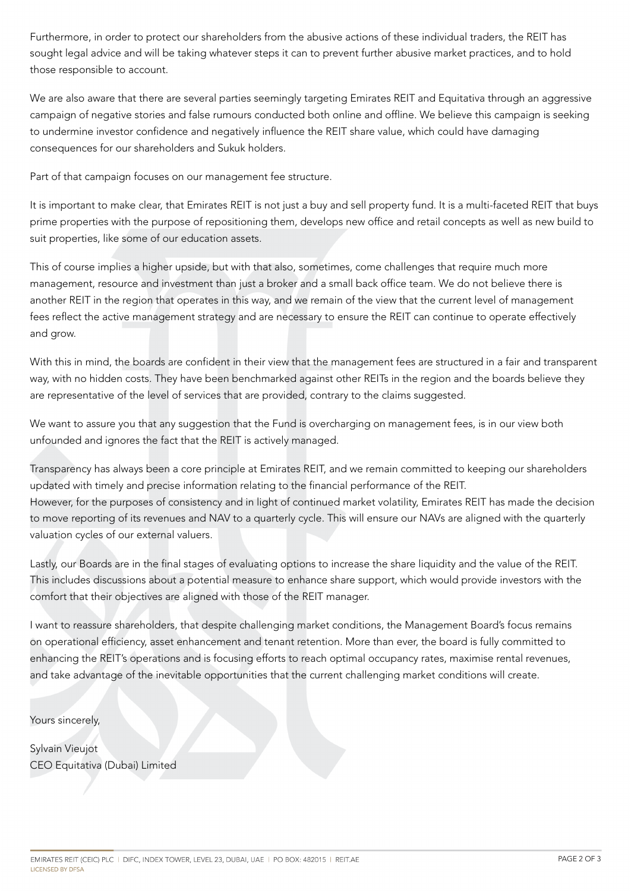Furthermore, in order to protect our shareholders from the abusive actions of these individual traders, the REIT has sought legal advice and will be taking whatever steps it can to prevent further abusive market practices, and to hold those responsible to account.

We are also aware that there are several parties seemingly targeting Emirates REIT and Equitativa through an aggressive campaign of negative stories and false rumours conducted both online and offline. We believe this campaign is seeking to undermine investor confidence and negatively influence the REIT share value, which could have damaging consequences for our shareholders and Sukuk holders.

Part of that campaign focuses on our management fee structure.

It is important to make clear, that Emirates REIT is not just a buy and sell property fund. It is a multi-faceted REIT that buys prime properties with the purpose of repositioning them, develops new office and retail concepts as well as new build to suit properties, like some of our education assets.

This of course implies a higher upside, but with that also, sometimes, come challenges that require much more management, resource and investment than just a broker and a small back office team. We do not believe there is another REIT in the region that operates in this way, and we remain of the view that the current level of management fees reflect the active management strategy and are necessary to ensure the REIT can continue to operate effectively and grow.

With this in mind, the boards are confident in their view that the management fees are structured in a fair and transparent way, with no hidden costs. They have been benchmarked against other REITs in the region and the boards believe they are representative of the level of services that are provided, contrary to the claims suggested.

We want to assure you that any suggestion that the Fund is overcharging on management fees, is in our view both unfounded and ignores the fact that the REIT is actively managed.

Transparency has always been a core principle at Emirates REIT, and we remain committed to keeping our shareholders updated with timely and precise information relating to the financial performance of the REIT. However, for the purposes of consistency and in light of continued market volatility, Emirates REIT has made the decision to move reporting of its revenues and NAV to a quarterly cycle. This will ensure our NAVs are aligned with the quarterly valuation cycles of our external valuers.

Lastly, our Boards are in the final stages of evaluating options to increase the share liquidity and the value of the REIT. This includes discussions about a potential measure to enhance share support, which would provide investors with the comfort that their objectives are aligned with those of the REIT manager.

I want to reassure shareholders, that despite challenging market conditions, the Management Board's focus remains on operational efficiency, asset enhancement and tenant retention. More than ever, the board is fully committed to enhancing the REIT's operations and is focusing efforts to reach optimal occupancy rates, maximise rental revenues, and take advantage of the inevitable opportunities that the current challenging market conditions will create.

Yours sincerely,

Sylvain Vieujot CEO Equitativa (Dubai) Limited